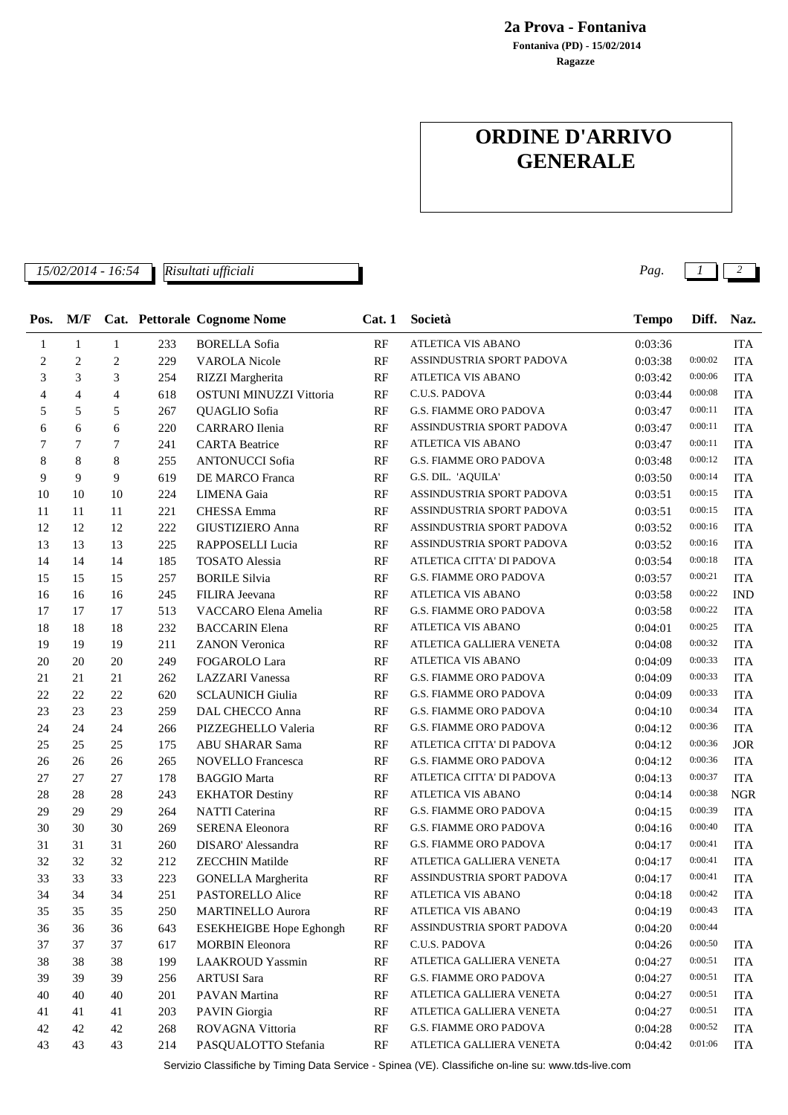**Ragazze Fontaniva (PD) - 15/02/2014 2a Prova - Fontaniva**

## **ORDINE D'ARRIVO GENERALE**

*Risultati ufficiali*

*15/02/2014 - 16:54 Pag. 1 2*

| Pos.   | M/F            |                |     | Cat. Pettorale Cognome Nome    | Cat.1 | Società                       | <b>Tempo</b> | Diff.   | Naz.       |
|--------|----------------|----------------|-----|--------------------------------|-------|-------------------------------|--------------|---------|------------|
| 1      | 1              | $\mathbf{1}$   | 233 | <b>BORELLA Sofia</b>           | RF    | ATLETICA VIS ABANO            | 0:03:36      |         | <b>ITA</b> |
| 2      | $\overline{c}$ | $\overline{2}$ | 229 | <b>VAROLA Nicole</b>           | RF    | ASSINDUSTRIA SPORT PADOVA     | 0:03:38      | 0:00:02 | <b>ITA</b> |
| 3      | 3              | 3              | 254 | RIZZI Margherita               | RF    | ATLETICA VIS ABANO            | 0:03:42      | 0:00:06 | <b>ITA</b> |
| 4      | 4              | $\overline{4}$ | 618 | OSTUNI MINUZZI Vittoria        | RF    | C.U.S. PADOVA                 | 0:03:44      | 0:00:08 | <b>ITA</b> |
| 5      | 5              | 5              | 267 | QUAGLIO Sofia                  | RF    | G.S. FIAMME ORO PADOVA        | 0:03:47      | 0:00:11 | <b>ITA</b> |
| 6      | 6              | 6              | 220 | CARRARO Ilenia                 | RF    | ASSINDUSTRIA SPORT PADOVA     | 0:03:47      | 0:00:11 | <b>ITA</b> |
| 7      | 7              | 7              | 241 | <b>CARTA</b> Beatrice          | RF    | ATLETICA VIS ABANO            | 0:03:47      | 0:00:11 | <b>ITA</b> |
| 8      | 8              | 8              | 255 | <b>ANTONUCCI Sofia</b>         | RF    | <b>G.S. FIAMME ORO PADOVA</b> | 0:03:48      | 0:00:12 | <b>ITA</b> |
| 9      | 9              | 9              | 619 | DE MARCO Franca                | RF    | G.S. DIL. 'AQUILA'            | 0:03:50      | 0:00:14 | <b>ITA</b> |
| 10     | 10             | 10             | 224 | <b>LIMENA</b> Gaia             | RF    | ASSINDUSTRIA SPORT PADOVA     | 0:03:51      | 0:00:15 | <b>ITA</b> |
| 11     | 11             | 11             | 221 | <b>CHESSA</b> Emma             | RF    | ASSINDUSTRIA SPORT PADOVA     | 0:03:51      | 0:00:15 | <b>ITA</b> |
| 12     | 12             | 12             | 222 | GIUSTIZIERO Anna               | RF    | ASSINDUSTRIA SPORT PADOVA     | 0:03:52      | 0:00:16 | <b>ITA</b> |
| 13     | 13             | 13             | 225 | RAPPOSELLI Lucia               | RF    | ASSINDUSTRIA SPORT PADOVA     | 0:03:52      | 0:00:16 | <b>ITA</b> |
| 14     | 14             | 14             | 185 | <b>TOSATO</b> Alessia          | RF    | ATLETICA CITTA' DI PADOVA     | 0:03:54      | 0:00:18 | <b>ITA</b> |
| 15     | 15             | 15             | 257 | <b>BORILE Silvia</b>           | RF    | <b>G.S. FIAMME ORO PADOVA</b> | 0:03:57      | 0:00:21 | <b>ITA</b> |
| 16     | 16             | 16             | 245 | FILIRA Jeevana                 | RF    | ATLETICA VIS ABANO            | 0:03:58      | 0:00:22 | <b>IND</b> |
| 17     | 17             | 17             | 513 | VACCARO Elena Amelia           | RF    | G.S. FIAMME ORO PADOVA        | 0:03:58      | 0:00:22 | <b>ITA</b> |
| 18     | 18             | 18             | 232 | <b>BACCARIN Elena</b>          | RF    | ATLETICA VIS ABANO            | 0:04:01      | 0:00:25 | <b>ITA</b> |
| 19     | 19             | 19             | 211 | <b>ZANON Veronica</b>          | RF    | ATLETICA GALLIERA VENETA      | 0:04:08      | 0:00:32 | <b>ITA</b> |
| 20     | 20             | 20             | 249 | FOGAROLO Lara                  | RF    | ATLETICA VIS ABANO            | 0:04:09      | 0:00:33 | <b>ITA</b> |
| 21     | 21             | 21             | 262 | <b>LAZZARI</b> Vanessa         | RF    | G.S. FIAMME ORO PADOVA        | 0:04:09      | 0:00:33 | <b>ITA</b> |
| 22     | 22             | 22             | 620 | <b>SCLAUNICH Giulia</b>        | RF    | <b>G.S. FIAMME ORO PADOVA</b> | 0:04:09      | 0:00:33 | <b>ITA</b> |
| 23     | 23             | 23             | 259 | DAL CHECCO Anna                | RF    | <b>G.S. FIAMME ORO PADOVA</b> | 0:04:10      | 0:00:34 | <b>ITA</b> |
| 24     | 24             | 24             | 266 | PIZZEGHELLO Valeria            | RF    | G.S. FIAMME ORO PADOVA        | 0:04:12      | 0:00:36 | <b>ITA</b> |
| 25     | 25             | 25             | 175 | ABU SHARAR Sama                | RF    | ATLETICA CITTA' DI PADOVA     | 0:04:12      | 0:00:36 | <b>JOR</b> |
| 26     | 26             | 26             | 265 | NOVELLO Francesca              | RF    | G.S. FIAMME ORO PADOVA        | 0:04:12      | 0:00:36 | <b>ITA</b> |
| 27     | 27             | 27             | 178 | <b>BAGGIO Marta</b>            | RF    | ATLETICA CITTA' DI PADOVA     | 0:04:13      | 0:00:37 | <b>ITA</b> |
| $28\,$ | 28             | 28             | 243 | <b>EKHATOR Destiny</b>         | RF    | ATLETICA VIS ABANO            | 0:04:14      | 0:00:38 | <b>NGR</b> |
| 29     | 29             | 29             | 264 | <b>NATTI</b> Caterina          | RF    | G.S. FIAMME ORO PADOVA        | 0:04:15      | 0:00:39 | <b>ITA</b> |
| 30     | 30             | 30             | 269 | <b>SERENA Eleonora</b>         | RF    | G.S. FIAMME ORO PADOVA        | 0:04:16      | 0:00:40 | <b>ITA</b> |
| 31     | 31             | 31             | 260 | DISARO' Alessandra             | RF    | <b>G.S. FIAMME ORO PADOVA</b> | 0:04:17      | 0:00:41 | <b>ITA</b> |
| 32     | 32             | 32             | 212 | <b>ZECCHIN Matilde</b>         | RF    | ATLETICA GALLIERA VENETA      | 0:04:17      | 0:00:41 | <b>ITA</b> |
| 33     | 33             | 33             | 223 | <b>GONELLA</b> Margherita      | RF    | ASSINDUSTRIA SPORT PADOVA     | 0:04:17      | 0:00:41 | <b>ITA</b> |
| 34     | 34             | 34             | 251 | PASTORELLO Alice               | RF    | ATLETICA VIS ABANO            | 0:04:18      | 0:00:42 | <b>ITA</b> |
| 35     | 35             | 35             | 250 | <b>MARTINELLO Aurora</b>       | RF    | ATLETICA VIS ABANO            | 0:04:19      | 0:00:43 | <b>ITA</b> |
| 36     | 36             | 36             | 643 | <b>ESEKHEIGBE Hope Eghongh</b> | RF    | ASSINDUSTRIA SPORT PADOVA     | 0:04:20      | 0:00:44 |            |
| 37     | 37             | 37             | 617 | <b>MORBIN Eleonora</b>         | RF    | C.U.S. PADOVA                 | 0:04:26      | 0:00:50 | ITA        |
| 38     | 38             | 38             | 199 | LAAKROUD Yassmin               | RF    | ATLETICA GALLIERA VENETA      | 0:04:27      | 0:00:51 | <b>ITA</b> |
| 39     | 39             | 39             | 256 | <b>ARTUSI</b> Sara             | RF    | G.S. FIAMME ORO PADOVA        | 0:04:27      | 0:00:51 | ITA        |
| 40     | 40             | 40             | 201 | PAVAN Martina                  | RF    | ATLETICA GALLIERA VENETA      | 0:04:27      | 0:00:51 | <b>ITA</b> |
| 41     | 41             | 41             | 203 | PAVIN Giorgia                  | RF    | ATLETICA GALLIERA VENETA      | 0:04:27      | 0:00:51 | ITA        |
| 42     | 42             | 42             | 268 | ROVAGNA Vittoria               | RF    | G.S. FIAMME ORO PADOVA        | 0:04:28      | 0:00:52 | ITA        |
| 43     | 43             | 43             | 214 | PASQUALOTTO Stefania           | RF    | ATLETICA GALLIERA VENETA      | 0:04:42      | 0:01:06 | <b>ITA</b> |

Servizio Classifiche by Timing Data Service - Spinea (VE). Classifiche on-line su: www.tds-live.com